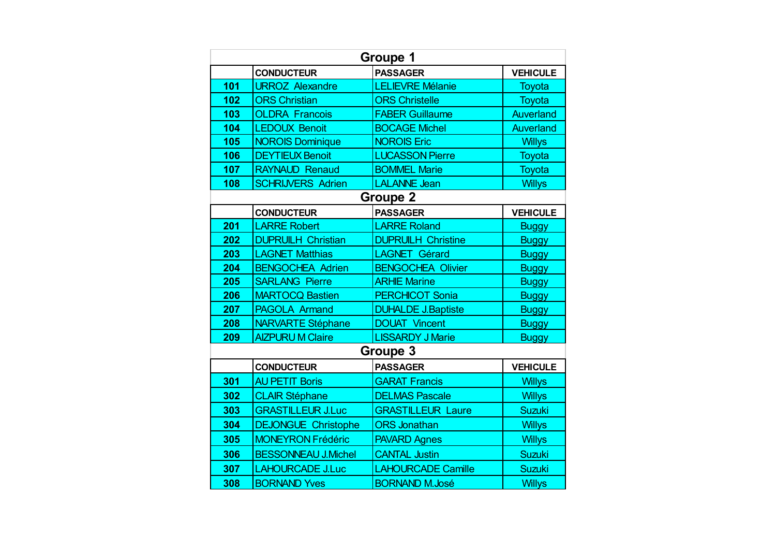| <b>Groupe 1</b> |                            |                           |                 |  |  |
|-----------------|----------------------------|---------------------------|-----------------|--|--|
|                 | <b>CONDUCTEUR</b>          | <b>PASSAGER</b>           | <b>VEHICULE</b> |  |  |
| 101             | <b>URROZ Alexandre</b>     | <b>LELIEVRE Mélanie</b>   | <b>Toyota</b>   |  |  |
| 102             | <b>ORS Christian</b>       | <b>ORS Christelle</b>     | Toyota          |  |  |
| 103             | <b>OLDRA Francois</b>      | <b>FABER Guillaume</b>    | Auverland       |  |  |
| 104             | <b>LEDOUX Benoit</b>       | <b>BOCAGE Michel</b>      | Auverland       |  |  |
| 105             | <b>NOROIS Dominique</b>    | <b>NOROIS Eric</b>        | <b>Willys</b>   |  |  |
| 106             | <b>DEYTIEUX Benoit</b>     | <b>LUCASSON Pierre</b>    | <b>Toyota</b>   |  |  |
| 107             | <b>RAYNAUD Renaud</b>      | <b>BOMMEL Marie</b>       | <b>Toyota</b>   |  |  |
| 108             | <b>SCHRIJVERS Adrien</b>   | <b>LALANNE Jean</b>       | <b>Willys</b>   |  |  |
|                 |                            | Groupe 2                  |                 |  |  |
|                 | <b>CONDUCTEUR</b>          | <b>PASSAGER</b>           | <b>VEHICULE</b> |  |  |
| 201             | <b>LARRE Robert</b>        | <b>LARRE Roland</b>       | <b>Buggy</b>    |  |  |
| 202             | <b>DUPRUILH Christian</b>  | <b>DUPRUILH Christine</b> | <b>Buggy</b>    |  |  |
| 203             | <b>LAGNET Matthias</b>     | <b>LAGNET Gérard</b>      | <b>Buggy</b>    |  |  |
| 204             | <b>BENGOCHEA Adrien</b>    | <b>BENGOCHEA Olivier</b>  | <b>Buggy</b>    |  |  |
| 205             | <b>SARLANG Pierre</b>      | <b>ARHIE Marine</b>       | <b>Buggy</b>    |  |  |
| 206             | <b>MARTOCQ Bastien</b>     | <b>PERCHICOT Sonia</b>    | <b>Buggy</b>    |  |  |
| 207             | <b>PAGOLA Armand</b>       | <b>DUHALDE J.Baptiste</b> | <b>Buggy</b>    |  |  |
| 208             | <b>NARVARTE Stéphane</b>   | <b>DOUAT Vincent</b>      | <b>Buggy</b>    |  |  |
| 209             | <b>AIZPURU M Claire</b>    | <b>LISSARDY J Marie</b>   | <b>Buggy</b>    |  |  |
| <b>Groupe 3</b> |                            |                           |                 |  |  |
|                 | <b>CONDUCTEUR</b>          | <b>PASSAGER</b>           | <b>VEHICULE</b> |  |  |
| 301             | <b>AU PETIT Boris</b>      | <b>GARAT Francis</b>      | <b>Willys</b>   |  |  |
| 302             | <b>CLAIR Stéphane</b>      | <b>DELMAS Pascale</b>     | <b>Willys</b>   |  |  |
| 303             | <b>GRASTILLEUR J.Luc</b>   | <b>GRASTILLEUR Laure</b>  | <b>Suzuki</b>   |  |  |
| 304             | <b>DEJONGUE Christophe</b> | <b>ORS Jonathan</b>       | <b>Willys</b>   |  |  |
| 305             | <b>MONEYRON Frédéric</b>   | <b>PAVARD Agnes</b>       | <b>Willys</b>   |  |  |
| 306             | <b>BESSONNEAU J.Michel</b> | <b>CANTAL Justin</b>      | <b>Suzuki</b>   |  |  |
| 307             | <b>LAHOURCADE J.Luc</b>    | <b>LAHOURCADE Camille</b> | <b>Suzuki</b>   |  |  |
| 308             | <b>BORNAND Yves</b>        | <b>BORNAND M.José</b>     | <b>Willys</b>   |  |  |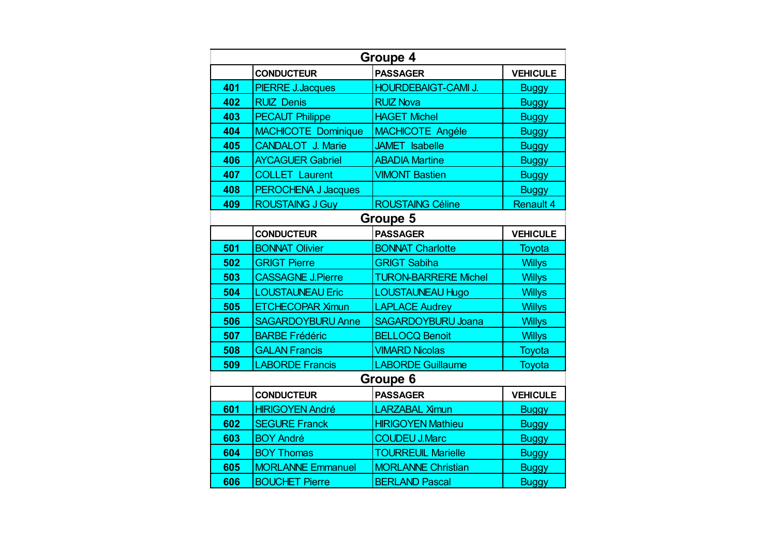| Groupe 4 |                            |                             |                  |  |  |
|----------|----------------------------|-----------------------------|------------------|--|--|
|          | <b>CONDUCTEUR</b>          | <b>PASSAGER</b>             | <b>VEHICULE</b>  |  |  |
| 401      | <b>PIERRE J.Jacques</b>    | <b>HOURDEBAIGT-CAMI J.</b>  | <b>Buggy</b>     |  |  |
| 402      | <b>RUIZ Denis</b>          | <b>RUIZ Nova</b>            | <b>Buggy</b>     |  |  |
| 403      | <b>PECAUT Philippe</b>     | <b>HAGET Michel</b>         | <b>Buggy</b>     |  |  |
| 404      | <b>MACHICOTE Dominique</b> | <b>MACHICOTE Angéle</b>     | <b>Buggy</b>     |  |  |
| 405      | <b>CANDALOT J. Marie</b>   | <b>JAMET</b> Isabelle       | <b>Buggy</b>     |  |  |
| 406      | <b>AYCAGUER Gabriel</b>    | <b>ABADIA Martine</b>       | <b>Buggy</b>     |  |  |
| 407      | <b>COLLET Laurent</b>      | <b>VIMONT Bastien</b>       | <b>Buggy</b>     |  |  |
| 408      | <b>PEROCHENA J Jacques</b> |                             | <b>Buggy</b>     |  |  |
| 409      | <b>ROUSTAING J Guy</b>     | <b>ROUSTAING Céline</b>     | <b>Renault 4</b> |  |  |
|          | Groupe 5                   |                             |                  |  |  |
|          | <b>CONDUCTEUR</b>          | <b>PASSAGER</b>             | <b>VEHICULE</b>  |  |  |
| 501      | <b>BONNAT Olivier</b>      | <b>BONNAT Charlotte</b>     | Toyota           |  |  |
| 502      | <b>GRIGT Pierre</b>        | <b>GRIGT Sabiha</b>         | <b>Willys</b>    |  |  |
| 503      | <b>CASSAGNE J.Pierre</b>   | <b>TURON-BARRERE Michel</b> | <b>Willys</b>    |  |  |
| 504      | <b>LOUSTAUNEAU Eric</b>    | <b>LOUSTAUNEAU Hugo</b>     | <b>Willys</b>    |  |  |
| 505      | <b>ETCHECOPAR Ximun</b>    | <b>LAPLACE Audrey</b>       | <b>Willys</b>    |  |  |
| 506      | <b>SAGARDOYBURU Anne</b>   | <b>SAGARDOYBURU Joana</b>   | <b>Willys</b>    |  |  |
| 507      | <b>BARBE Frédéric</b>      | <b>BELLOCQ Benoit</b>       | <b>Willys</b>    |  |  |
| 508      | <b>GALAN Francis</b>       | <b>VIMARD Nicolas</b>       | <b>Toyota</b>    |  |  |
| 509      | <b>LABORDE Francis</b>     | <b>LABORDE Guillaume</b>    | <b>Toyota</b>    |  |  |
| Groupe 6 |                            |                             |                  |  |  |
|          | <b>CONDUCTEUR</b>          | <b>PASSAGER</b>             | <b>VEHICULE</b>  |  |  |
| 601      | <b>HIRIGOYEN André</b>     | <b>LARZABAL Ximun</b>       | <b>Buggy</b>     |  |  |
| 602      | <b>SEGURE Franck</b>       | <b>HIRIGOYEN Mathieu</b>    | <b>Buggy</b>     |  |  |
| 603      | <b>BOY André</b>           | <b>COUDEU J.Marc</b>        | <b>Buggy</b>     |  |  |
| 604      | <b>BOY Thomas</b>          | <b>TOURREUIL Marielle</b>   | <b>Buggy</b>     |  |  |
| 605      | <b>MORLANNE Emmanuel</b>   | <b>MORLANNE Christian</b>   | <b>Buggy</b>     |  |  |
| 606      | <b>BOUCHET Pierre</b>      | <b>BERLAND Pascal</b>       | <b>Buggy</b>     |  |  |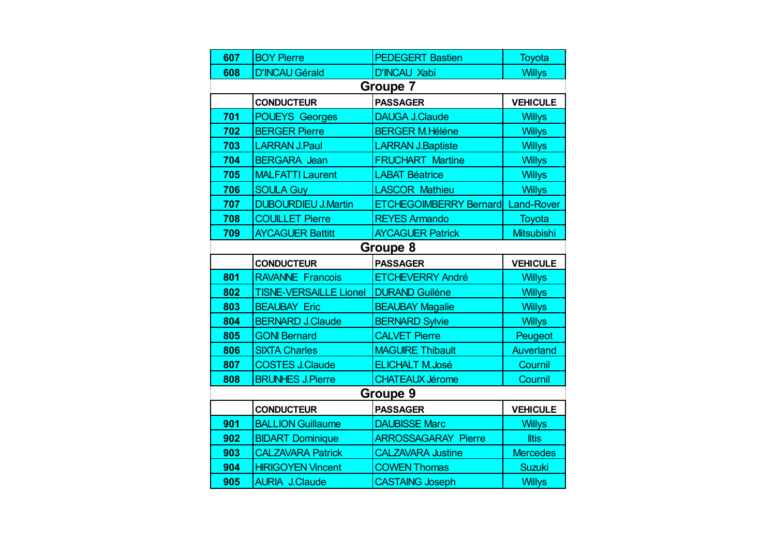| 607             | <b>BOY Pierre</b>             | <b>PEDEGERT Bastien</b>       | Toyota            |  |  |
|-----------------|-------------------------------|-------------------------------|-------------------|--|--|
| 608             | <b>D'INCAU Gérald</b>         | <b>D'INCAU Xabi</b>           | <b>Willys</b>     |  |  |
|                 |                               | <b>Groupe 7</b>               |                   |  |  |
|                 | <b>CONDUCTEUR</b>             | <b>PASSAGER</b>               | <b>VEHICULE</b>   |  |  |
| 701             | <b>POUEYS Georges</b>         | <b>DAUGA J.Claude</b>         | <b>Willys</b>     |  |  |
| 702             | <b>BERGER Pierre</b>          | <b>BERGER M.Héléne</b>        | <b>Willys</b>     |  |  |
| 703             | <b>LARRAN J.Paul</b>          | <b>LARRAN J.Baptiste</b>      | <b>Willys</b>     |  |  |
| 704             | <b>BERGARA</b> Jean           | <b>FRUCHART Martine</b>       | <b>Willys</b>     |  |  |
| 705             | <b>MALFATTI Laurent</b>       | <b>LABAT Béatrice</b>         | <b>Willys</b>     |  |  |
| 706             | <b>SOULA Guy</b>              | <b>LASCOR Mathieu</b>         | <b>Willys</b>     |  |  |
| 707             | <b>DUBOURDIEU J.Martin</b>    | <b>ETCHEGOIMBERRY Bernard</b> | <b>Land-Rover</b> |  |  |
| 708             | <b>COUILLET Pierre</b>        | <b>REYES Armando</b>          | Toyota            |  |  |
| 709             | <b>AYCAGUER Battitt</b>       | <b>AYCAGUER Patrick</b>       | <b>Mitsubishi</b> |  |  |
|                 |                               | Groupe 8                      |                   |  |  |
|                 | <b>CONDUCTEUR</b>             | <b>PASSAGER</b>               | <b>VEHICULE</b>   |  |  |
| 801             | <b>RAVANNE Francois</b>       | <b>ETCHEVERRY André</b>       | <b>Willys</b>     |  |  |
| 802             | <b>TISNE-VERSAILLE Lionel</b> | <b>DURAND Guiléne</b>         | <b>Willys</b>     |  |  |
| 803             | <b>BEAUBAY Eric</b>           | <b>BEAUBAY Magalie</b>        | <b>Willys</b>     |  |  |
| 804             | <b>BERNARD J.Claude</b>       | <b>BERNARD Sylvie</b>         | <b>Willys</b>     |  |  |
| 805             | <b>GONI Bernard</b>           | <b>CALVET Pierre</b>          | Peugeot           |  |  |
| 806             | <b>SIXTA Charles</b>          | <b>MAGUIRE Thibault</b>       | Auverland         |  |  |
| 807             | <b>COSTES J.Claude</b>        | <b>ELICHALT M.José</b>        | Cournil           |  |  |
| 808             | <b>BRUNHES J.Pierre</b>       | <b>CHATEAUX Jérome</b>        | Cournil           |  |  |
| <b>Groupe 9</b> |                               |                               |                   |  |  |
|                 | <b>CONDUCTEUR</b>             | <b>PASSAGER</b>               | <b>VEHICULE</b>   |  |  |
| 901             | <b>BALLION Guillaume</b>      | <b>DAUBISSE Marc</b>          | <b>Willys</b>     |  |  |
| 902             | <b>BIDART Dominique</b>       | <b>ARROSSAGARAY Pierre</b>    | <b>Iltis</b>      |  |  |
| 903             | <b>CALZAVARA Patrick</b>      | <b>CALZAVARA Justine</b>      | <b>Mercedes</b>   |  |  |
| 904             | <b>HIRIGOYEN Vincent</b>      | <b>COWEN Thomas</b>           | Suzuki            |  |  |
| 905             | <b>AURIA J.Claude</b>         | <b>CASTAING Joseph</b>        | <b>Willys</b>     |  |  |